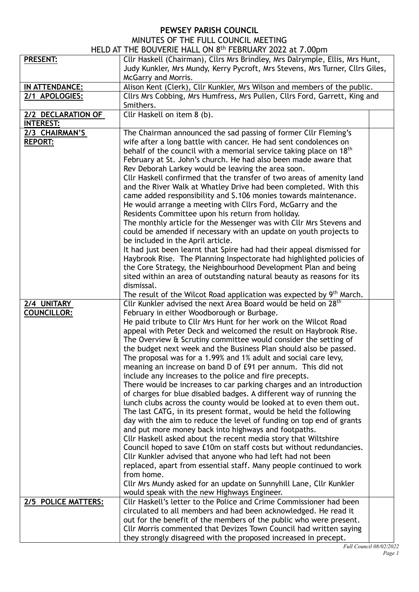## **PEWSEY PARISH COUNCIL**

## MINUTES OF THE FULL COUNCIL MEETING

| HELD AT THE BOUVERIE HALL ON 8th FEBRUARY 2022 at 7.00pm |                                                                                                                                                                                                                                                                                          |  |  |
|----------------------------------------------------------|------------------------------------------------------------------------------------------------------------------------------------------------------------------------------------------------------------------------------------------------------------------------------------------|--|--|
| <b>PRESENT:</b>                                          | Cllr Haskell (Chairman), Cllrs Mrs Brindley, Mrs Dalrymple, Ellis, Mrs Hunt,                                                                                                                                                                                                             |  |  |
|                                                          | Judy Kunkler, Mrs Mundy, Kerry Pycroft, Mrs Stevens, Mrs Turner, Cllrs Giles,                                                                                                                                                                                                            |  |  |
|                                                          | McGarry and Morris.                                                                                                                                                                                                                                                                      |  |  |
| IN ATTENDANCE:                                           | Alison Kent (Clerk), Cllr Kunkler, Mrs Wilson and members of the public.                                                                                                                                                                                                                 |  |  |
| 2/1 APOLOGIES:                                           | Cllrs Mrs Cobbing, Mrs Humfress, Mrs Pullen, Cllrs Ford, Garrett, King and                                                                                                                                                                                                               |  |  |
|                                                          | Smithers.                                                                                                                                                                                                                                                                                |  |  |
| 2/2 DECLARATION OF                                       | Cllr Haskell on item 8 (b).                                                                                                                                                                                                                                                              |  |  |
| <b>INTEREST:</b>                                         |                                                                                                                                                                                                                                                                                          |  |  |
| 2/3 CHAIRMAN'S<br><b>REPORT:</b>                         | The Chairman announced the sad passing of former Cllr Fleming's<br>wife after a long battle with cancer. He had sent condolences on<br>behalf of the council with a memorial service taking place on 18 <sup>th</sup><br>February at St. John's church. He had also been made aware that |  |  |
|                                                          | Rev Deborah Larkey would be leaving the area soon.<br>Cllr Haskell confirmed that the transfer of two areas of amenity land                                                                                                                                                              |  |  |
|                                                          | and the River Walk at Whatley Drive had been completed. With this                                                                                                                                                                                                                        |  |  |
|                                                          | came added responsibility and S.106 monies towards maintenance.                                                                                                                                                                                                                          |  |  |
|                                                          | He would arrange a meeting with Cllrs Ford, McGarry and the                                                                                                                                                                                                                              |  |  |
|                                                          | Residents Committee upon his return from holiday.                                                                                                                                                                                                                                        |  |  |
|                                                          | The monthly article for the Messenger was with Cllr Mrs Stevens and                                                                                                                                                                                                                      |  |  |
|                                                          | could be amended if necessary with an update on youth projects to                                                                                                                                                                                                                        |  |  |
|                                                          | be included in the April article.                                                                                                                                                                                                                                                        |  |  |
|                                                          | It had just been learnt that Spire had had their appeal dismissed for                                                                                                                                                                                                                    |  |  |
|                                                          | Haybrook Rise. The Planning Inspectorate had highlighted policies of                                                                                                                                                                                                                     |  |  |
|                                                          | the Core Strategy, the Neighbourhood Development Plan and being                                                                                                                                                                                                                          |  |  |
|                                                          | sited within an area of outstanding natural beauty as reasons for its                                                                                                                                                                                                                    |  |  |
|                                                          | dismissal.                                                                                                                                                                                                                                                                               |  |  |
|                                                          | The result of the Wilcot Road application was expected by 9 <sup>th</sup> March.                                                                                                                                                                                                         |  |  |
| 2/4 UNITARY                                              | Cllr Kunkler advised the next Area Board would be held on 28 <sup>th</sup>                                                                                                                                                                                                               |  |  |
| <b>COUNCILLOR:</b>                                       | February in either Woodborough or Burbage.                                                                                                                                                                                                                                               |  |  |
|                                                          | He paid tribute to Cllr Mrs Hunt for her work on the Wilcot Road                                                                                                                                                                                                                         |  |  |
|                                                          | appeal with Peter Deck and welcomed the result on Haybrook Rise.                                                                                                                                                                                                                         |  |  |
|                                                          | The Overview & Scrutiny committee would consider the setting of                                                                                                                                                                                                                          |  |  |
|                                                          | the budget next week and the Business Plan should also be passed.                                                                                                                                                                                                                        |  |  |
|                                                          | The proposal was for a 1.99% and 1% adult and social care levy,                                                                                                                                                                                                                          |  |  |
|                                                          | meaning an increase on band D of £91 per annum. This did not<br>include any increases to the police and fire precepts.                                                                                                                                                                   |  |  |
|                                                          | There would be increases to car parking charges and an introduction                                                                                                                                                                                                                      |  |  |
|                                                          | of charges for blue disabled badges. A different way of running the                                                                                                                                                                                                                      |  |  |
|                                                          | lunch clubs across the county would be looked at to even them out.                                                                                                                                                                                                                       |  |  |
|                                                          | The last CATG, in its present format, would be held the following                                                                                                                                                                                                                        |  |  |
|                                                          | day with the aim to reduce the level of funding on top end of grants                                                                                                                                                                                                                     |  |  |
|                                                          | and put more money back into highways and footpaths.                                                                                                                                                                                                                                     |  |  |
|                                                          | Cllr Haskell asked about the recent media story that Wiltshire                                                                                                                                                                                                                           |  |  |
|                                                          | Council hoped to save £10m on staff costs but without redundancies.                                                                                                                                                                                                                      |  |  |
|                                                          | Cllr Kunkler advised that anyone who had left had not been                                                                                                                                                                                                                               |  |  |
|                                                          | replaced, apart from essential staff. Many people continued to work                                                                                                                                                                                                                      |  |  |
|                                                          | from home.                                                                                                                                                                                                                                                                               |  |  |
|                                                          | Cllr Mrs Mundy asked for an update on Sunnyhill Lane, Cllr Kunkler                                                                                                                                                                                                                       |  |  |
|                                                          | would speak with the new Highways Engineer.                                                                                                                                                                                                                                              |  |  |
| 2/5 POLICE MATTERS:                                      | Cllr Haskell's letter to the Police and Crime Commissioner had been                                                                                                                                                                                                                      |  |  |
|                                                          | circulated to all members and had been acknowledged. He read it<br>out for the benefit of the members of the public who were present.                                                                                                                                                    |  |  |
|                                                          | Cllr Morris commented that Devizes Town Council had written saying                                                                                                                                                                                                                       |  |  |
|                                                          | they strongly disagreed with the proposed increased in precept.                                                                                                                                                                                                                          |  |  |
|                                                          |                                                                                                                                                                                                                                                                                          |  |  |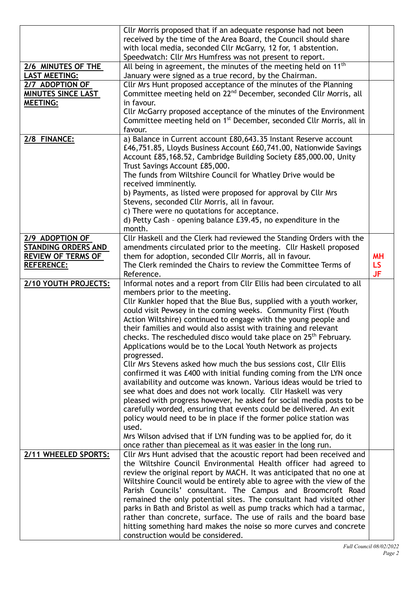|                            | Cllr Morris proposed that if an adequate response had not been<br>received by the time of the Area Board, the Council should share<br>with local media, seconded Cllr McGarry, 12 for, 1 abstention.<br>Speedwatch: Cllr Mrs Humfress was not present to report. |           |
|----------------------------|------------------------------------------------------------------------------------------------------------------------------------------------------------------------------------------------------------------------------------------------------------------|-----------|
| 2/6 MINUTES OF THE         | All being in agreement, the minutes of the meeting held on 11 <sup>th</sup>                                                                                                                                                                                      |           |
| <b>LAST MEETING:</b>       | January were signed as a true record, by the Chairman.                                                                                                                                                                                                           |           |
| 2/7 ADOPTION OF            | Cllr Mrs Hunt proposed acceptance of the minutes of the Planning                                                                                                                                                                                                 |           |
| MINUTES SINCE LAST         | Committee meeting held on 22 <sup>nd</sup> December, seconded Cllr Morris, all                                                                                                                                                                                   |           |
| <b>MEETING:</b>            | in favour.                                                                                                                                                                                                                                                       |           |
|                            | Cllr McGarry proposed acceptance of the minutes of the Environment                                                                                                                                                                                               |           |
|                            | Committee meeting held on 1 <sup>st</sup> December, seconded Cllr Morris, all in                                                                                                                                                                                 |           |
|                            | favour.                                                                                                                                                                                                                                                          |           |
| 2/8 FINANCE:               | a) Balance in Current account £80,643.35 Instant Reserve account                                                                                                                                                                                                 |           |
|                            | £46,751.85, Lloyds Business Account £60,741.00, Nationwide Savings                                                                                                                                                                                               |           |
|                            | Account £85,168.52, Cambridge Building Society £85,000.00, Unity                                                                                                                                                                                                 |           |
|                            | Trust Savings Account £85,000.                                                                                                                                                                                                                                   |           |
|                            | The funds from Wiltshire Council for Whatley Drive would be                                                                                                                                                                                                      |           |
|                            | received imminently.                                                                                                                                                                                                                                             |           |
|                            | b) Payments, as listed were proposed for approval by Cllr Mrs                                                                                                                                                                                                    |           |
|                            | Stevens, seconded Cllr Morris, all in favour.                                                                                                                                                                                                                    |           |
|                            | c) There were no quotations for acceptance.                                                                                                                                                                                                                      |           |
|                            | d) Petty Cash - opening balance £39.45, no expenditure in the                                                                                                                                                                                                    |           |
|                            | month.                                                                                                                                                                                                                                                           |           |
| 2/9 ADOPTION OF            | Cllr Haskell and the Clerk had reviewed the Standing Orders with the                                                                                                                                                                                             |           |
| <b>STANDING ORDERS AND</b> | amendments circulated prior to the meeting. Cllr Haskell proposed                                                                                                                                                                                                |           |
| <b>REVIEW OF TERMS OF</b>  | them for adoption, seconded Cllr Morris, all in favour.                                                                                                                                                                                                          | <b>MH</b> |
| <b>REFERENCE:</b>          | The Clerk reminded the Chairs to review the Committee Terms of                                                                                                                                                                                                   | LS.       |
|                            | Reference.                                                                                                                                                                                                                                                       | <b>JF</b> |
| 2/10 YOUTH PROJECTS:       | Informal notes and a report from Cllr Ellis had been circulated to all                                                                                                                                                                                           |           |
|                            | members prior to the meeting.                                                                                                                                                                                                                                    |           |
|                            | Cllr Kunkler hoped that the Blue Bus, supplied with a youth worker,                                                                                                                                                                                              |           |
|                            | could visit Pewsey in the coming weeks. Community First (Youth                                                                                                                                                                                                   |           |
|                            | Action Wiltshire) continued to engage with the young people and                                                                                                                                                                                                  |           |
|                            | their families and would also assist with training and relevant                                                                                                                                                                                                  |           |
|                            | checks. The rescheduled disco would take place on 25 <sup>th</sup> February.                                                                                                                                                                                     |           |
|                            | Applications would be to the Local Youth Network as projects                                                                                                                                                                                                     |           |
|                            | progressed.                                                                                                                                                                                                                                                      |           |
|                            | Cllr Mrs Stevens asked how much the bus sessions cost, Cllr Ellis                                                                                                                                                                                                |           |
|                            | confirmed it was £400 with initial funding coming from the LYN once                                                                                                                                                                                              |           |
|                            | availability and outcome was known. Various ideas would be tried to                                                                                                                                                                                              |           |
|                            | see what does and does not work locally. Cllr Haskell was very                                                                                                                                                                                                   |           |
|                            | pleased with progress however, he asked for social media posts to be                                                                                                                                                                                             |           |
|                            | carefully worded, ensuring that events could be delivered. An exit                                                                                                                                                                                               |           |
|                            | policy would need to be in place if the former police station was                                                                                                                                                                                                |           |
|                            | used.                                                                                                                                                                                                                                                            |           |
|                            | Mrs Wilson advised that if LYN funding was to be applied for, do it                                                                                                                                                                                              |           |
|                            | once rather than piecemeal as it was easier in the long run.                                                                                                                                                                                                     |           |
| 2/11 WHEELED SPORTS:       | Cllr Mrs Hunt advised that the acoustic report had been received and                                                                                                                                                                                             |           |
|                            | the Wiltshire Council Environmental Health officer had agreed to                                                                                                                                                                                                 |           |
|                            | review the original report by MACH. It was anticipated that no one at                                                                                                                                                                                            |           |
|                            | Wiltshire Council would be entirely able to agree with the view of the                                                                                                                                                                                           |           |
|                            | Parish Councils' consultant. The Campus and Broomcroft Road                                                                                                                                                                                                      |           |
|                            | remained the only potential sites. The consultant had visited other                                                                                                                                                                                              |           |
|                            | parks in Bath and Bristol as well as pump tracks which had a tarmac,                                                                                                                                                                                             |           |
|                            | rather than concrete, surface. The use of rails and the board base                                                                                                                                                                                               |           |
|                            | hitting something hard makes the noise so more curves and concrete                                                                                                                                                                                               |           |
|                            | construction would be considered.                                                                                                                                                                                                                                |           |